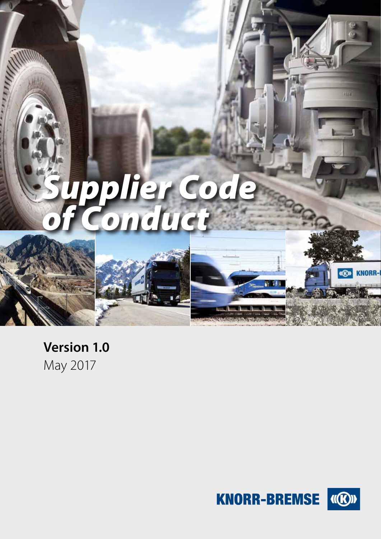

# **Version 1.0**  May 2017

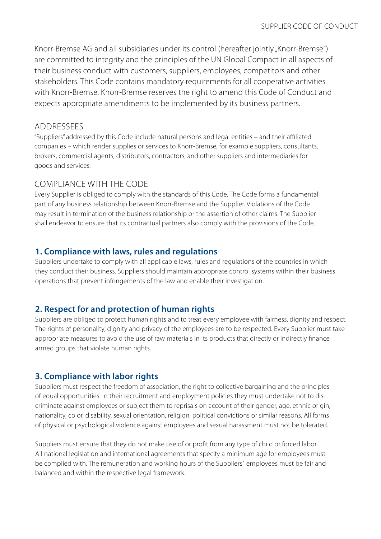Knorr-Bremse AG and all subsidiaries under its control (hereafter jointly "Knorr-Bremse") are committed to integrity and the principles of the UN Global Compact in all aspects of their business conduct with customers, suppliers, employees, competitors and other stakeholders. This Code contains mandatory requirements for all cooperative activities with Knorr-Bremse. Knorr-Bremse reserves the right to amend this Code of Conduct and expects appropriate amendments to be implemented by its business partners.

#### ADDRESSEES

"Suppliers" addressed by this Code include natural persons and legal entities – and their affiliated companies – which render supplies or services to Knorr-Bremse, for example suppliers, consultants, brokers, commercial agents, distributors, contractors, and other suppliers and intermediaries for goods and services.

## COMPLIANCE WITH THE CODE

Every Supplier is obliged to comply with the standards of this Code. The Code forms a fundamental part of any business relationship between Knorr-Bremse and the Supplier. Violations of the Code may result in termination of the business relationship or the assertion of other claims. The Supplier shall endeavor to ensure that its contractual partners also comply with the provisions of the Code.

## **1. Compliance with laws, rules and regulations**

Suppliers undertake to comply with all applicable laws, rules and regulations of the countries in which they conduct their business. Suppliers should maintain appropriate control systems within their business operations that prevent infringements of the law and enable their investigation.

# **2. Respect for and protection of human rights**

Suppliers are obliged to protect human rights and to treat every employee with fairness, dignity and respect. The rights of personality, dignity and privacy of the employees are to be respected. Every Supplier must take appropriate measures to avoid the use of raw materials in its products that directly or indirectly finance armed groups that violate human rights.

# **3. Compliance with labor rights**

Suppliers must respect the freedom of association, the right to collective bargaining and the principles of equal opportunities. In their recruitment and employment policies they must undertake not to discriminate against employees or subject them to reprisals on account of their gender, age, ethnic origin, nationality, color, disability, sexual orientation, religion, political convictions or similar reasons. All forms of physical or psychological violence against employees and sexual harassment must not be tolerated.

Suppliers must ensure that they do not make use of or profit from any type of child or forced labor. All national legislation and international agreements that specify a minimum age for employees must be complied with. The remuneration and working hours of the Suppliers´ employees must be fair and balanced and within the respective legal framework.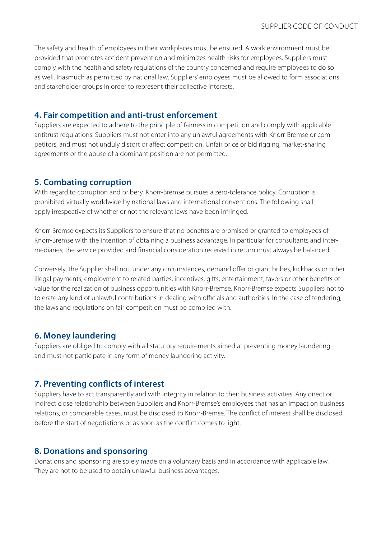The safety and health of employees in their workplaces must be ensured. A work environment must be provided that promotes accident prevention and minimizes health risks for employees. Suppliers must comply with the health and safety regulations of the country concerned and require employees to do so as well. Inasmuch as permitted by national law, Suppliers' employees must be allowed to form associations and stakeholder groups in order to represent their collective interests.

#### **4. Fair competition and anti-trust enforcement**

Suppliers are expected to adhere to the principle of fairness in competition and comply with applicable antitrust regulations. Suppliers must not enter into any unlawful agreements with Knorr-Bremse or competitors, and must not unduly distort or affect competition. Unfair price or bid rigging, market-sharing agreements or the abuse of a dominant position are not permitted.

#### **5. Combating corruption**

With regard to corruption and bribery, Knorr-Bremse pursues a zero-tolerance policy. Corruption is prohibited virtually worldwide by national laws and international conventions. The following shall apply irrespective of whether or not the relevant laws have been infringed.

Knorr-Bremse expects its Suppliers to ensure that no benefits are promised or granted to employees of Knorr-Bremse with the intention of obtaining a business advantage. In particular for consultants and intermediaries, the service provided and financial consideration received in return must always be balanced.

Conversely, the Supplier shall not, under any circumstances, demand offer or grant bribes, kickbacks or other illegal payments, employment to related parties, incentives, gifts, entertainment, favors or other benefits of value for the realization of business opportunities with Knorr-Bremse. Knorr-Bremse expects Suppliers not to tolerate any kind of unlawful contributions in dealing with officials and authorities. In the case of tendering, the laws and regulations on fair competition must be complied with.

#### **6. Money laundering**

Suppliers are obliged to comply with all statutory requirements aimed at preventing money laundering and must not participate in any form of money laundering activity.

#### **7. Preventing conflicts of interest**

Suppliers have to act transparently and with integrity in relation to their business activities. Any direct or indirect close relationship between Suppliers and Knorr-Bremse's employees that has an impact on business relations, or comparable cases, must be disclosed to Knorr-Bremse. The conflict of interest shall be disclosed before the start of negotiations or as soon as the conflict comes to light.

#### **8. Donations and sponsoring**

Donations and sponsoring are solely made on a voluntary basis and in accordance with applicable law. They are not to be used to obtain unlawful business advantages.